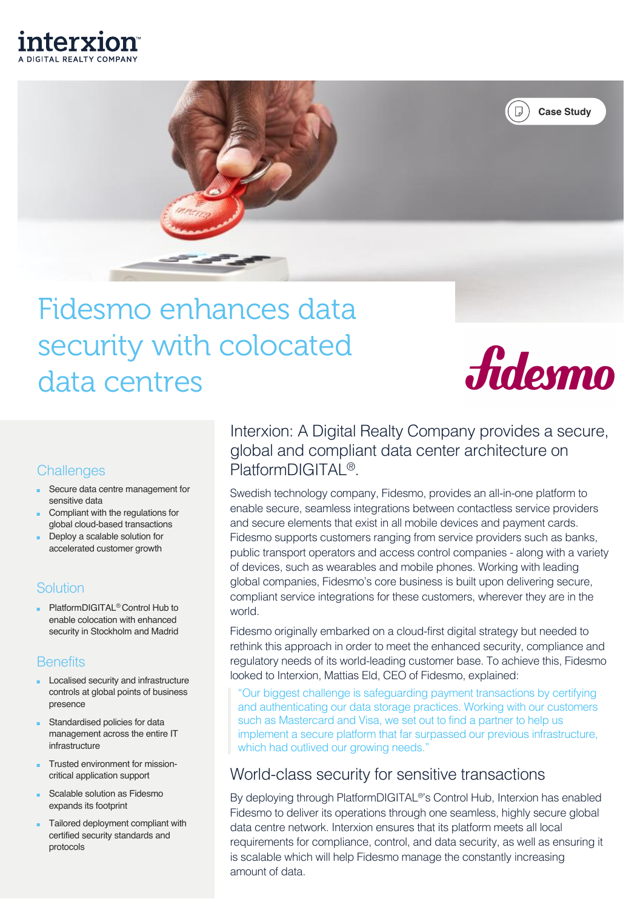



# Fidesmo enhances data security with colocated data centres



# **Challenges**

- Secure data centre management for sensitive data
- Compliant with the regulations for global cloud-based transactions
- Deploy a scalable solution for accelerated customer growth

## **Solution**

PlatformDIGITAL<sup>®</sup> Control Hub to enable colocation with enhanced security in Stockholm and Madrid

## **Benefits**

- Localised security and infrastructure controls at global points of business presence
- Standardised policies for data management across the entire IT infrastructure
- Trusted environment for missioncritical application support
- Scalable solution as Fidesmo expands its footprint
- Tailored deployment compliant with certified security standards and protocols

Interxion: A Digital Realty Company provides a secure, global and compliant data center architecture on PlatformDIGITAL<sup>®</sup>.

Swedish technology company, Fidesmo, provides an all-in-one platform to enable secure, seamless integrations between contactless service providers and secure elements that exist in all mobile devices and payment cards. Fidesmo supports customers ranging from service providers such as banks, public transport operators and access control companies - along with a variety of devices, such as wearables and mobile phones. Working with leading global companies, Fidesmo's core business is built upon delivering secure, compliant service integrations for these customers, wherever they are in the world.

Fidesmo originally embarked on a cloud-first digital strategy but needed to rethink this approach in order to meet the enhanced security, compliance and regulatory needs of its world-leading customer base. To achieve this, Fidesmo looked to Interxion, Mattias Eld, CEO of Fidesmo, explained:

"Our biggest challenge is safeguarding payment transactions by certifying and authenticating our data storage practices. Working with our customers such as Mastercard and Visa, we set out to find a partner to help us implement a secure platform that far surpassed our previous infrastructure, which had outlived our growing needs."

# World-class security for sensitive transactions

By deploying through PlatformDIGITAL®'s Control Hub, Interxion has enabled Fidesmo to deliver its operations through one seamless, highly secure global data centre network. Interxion ensures that its platform meets all local requirements for compliance, control, and data security, as well as ensuring it is scalable which will help Fidesmo manage the constantly increasing amount of data.